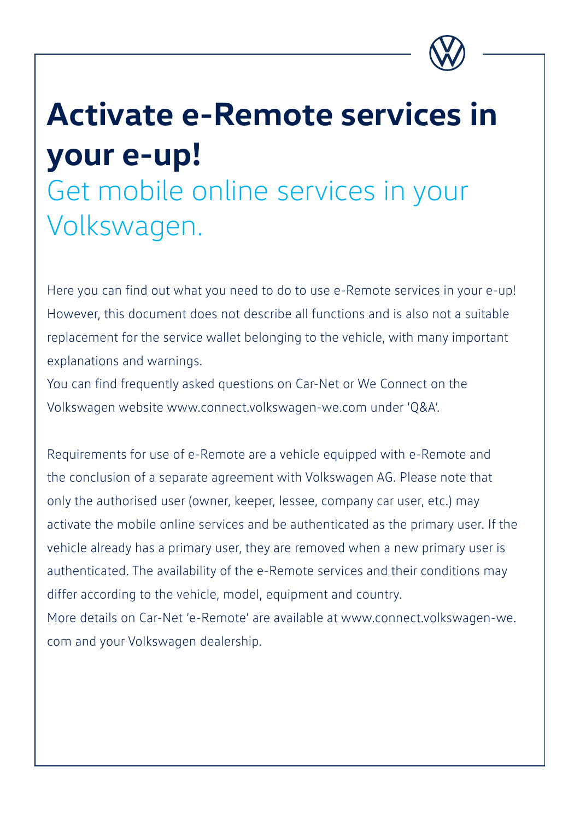

# **Activate e-Remote services in your e-up!**

Get mobile online services in your Volkswagen.

Here you can find out what you need to do to use e-Remote services in your e-up! However, this document does not describe all functions and is also not a suitable replacement for the service wallet belonging to the vehicle, with many important explanations and warnings.

You can find frequently asked questions on Car-Net or We Connect on the Volkswagen website www.connect.volkswagen-we.com under 'Q&A'.

Requirements for use of e-Remote are a vehicle equipped with e-Remote and the conclusion of a separate agreement with Volkswagen AG. Please note that only the authorised user (owner, keeper, lessee, company car user, etc.) may activate the mobile online services and be authenticated as the primary user. If the vehicle already has a primary user, they are removed when a new primary user is authenticated. The availability of the e-Remote services and their conditions may differ according to the vehicle, model, equipment and country. More details on Car-Net 'e-Remote' are available at www.connect.volkswagen-we.

com and your Volkswagen dealership.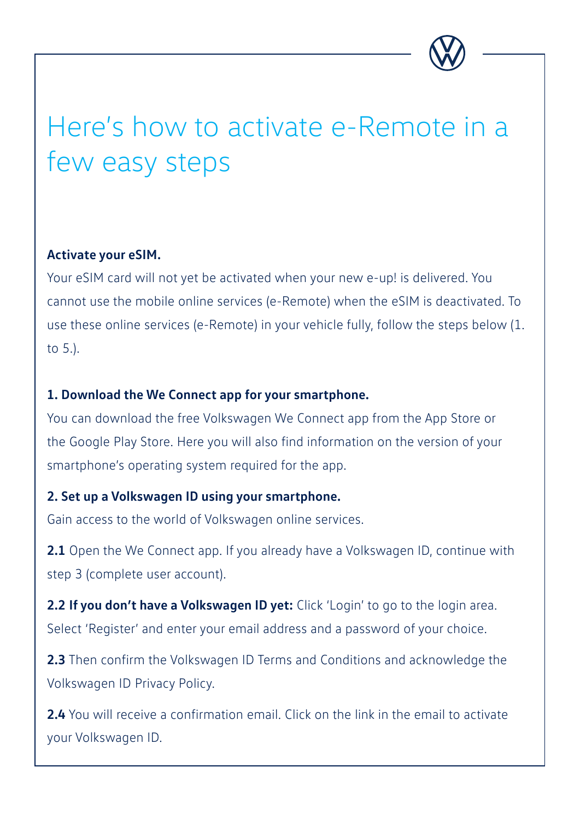

## Here's how to activate e-Remote in a few easy steps

#### **Activate your eSIM.**

Your eSIM card will not yet be activated when your new e-up! is delivered. You cannot use the mobile online services (e-Remote) when the eSIM is deactivated. To use these online services (e-Remote) in your vehicle fully, follow the steps below (1. to 5.).

#### **1. Download the We Connect app for your smartphone.**

You can download the free Volkswagen We Connect app from the App Store or the Google Play Store. Here you will also find information on the version of your smartphone's operating system required for the app.

#### **2. Set up a Volkswagen ID using your smartphone.**

Gain access to the world of Volkswagen online services.

**2.1** Open the We Connect app. If you already have a Volkswagen ID, continue with step 3 (complete user account).

**2.2 If you don't have a Volkswagen ID yet:** Click 'Login' to go to the login area. Select 'Register' and enter your email address and a password of your choice.

**2.3** Then confirm the Volkswagen ID Terms and Conditions and acknowledge the Volkswagen ID Privacy Policy.

**2.4** You will receive a confirmation email. Click on the link in the email to activate your Volkswagen ID.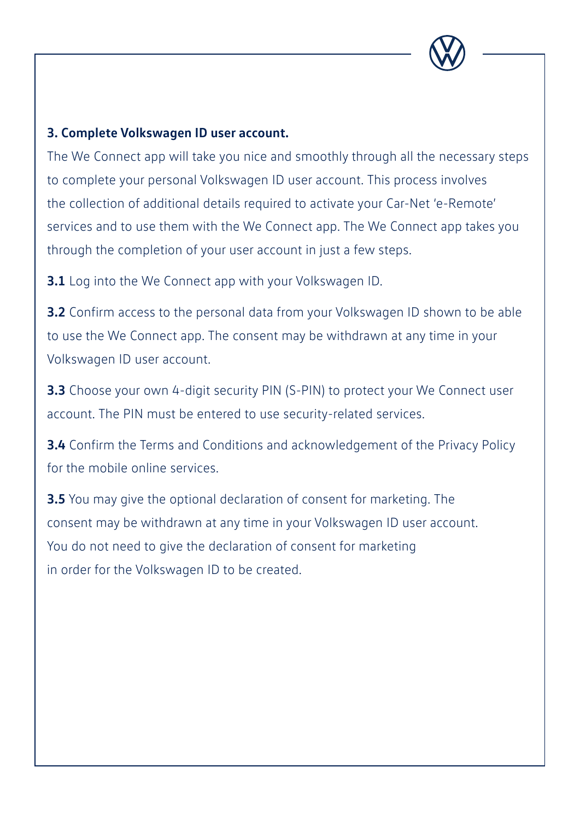

#### **3. Complete Volkswagen ID user account.**

The We Connect app will take you nice and smoothly through all the necessary steps to complete your personal Volkswagen ID user account. This process involves the collection of additional details required to activate your Car-Net 'e-Remote' services and to use them with the We Connect app. The We Connect app takes you through the completion of your user account in just a few steps.

**3.1** Log into the We Connect app with your Volkswagen ID.

**3.2** Confirm access to the personal data from your Volkswagen ID shown to be able to use the We Connect app. The consent may be withdrawn at any time in your Volkswagen ID user account.

**3.3** Choose your own 4-digit security PIN (S-PIN) to protect your We Connect user account. The PIN must be entered to use security-related services.

**3.4** Confirm the Terms and Conditions and acknowledgement of the Privacy Policy for the mobile online services.

**3.5** You may give the optional declaration of consent for marketing. The consent may be withdrawn at any time in your Volkswagen ID user account. You do not need to give the declaration of consent for marketing in order for the Volkswagen ID to be created.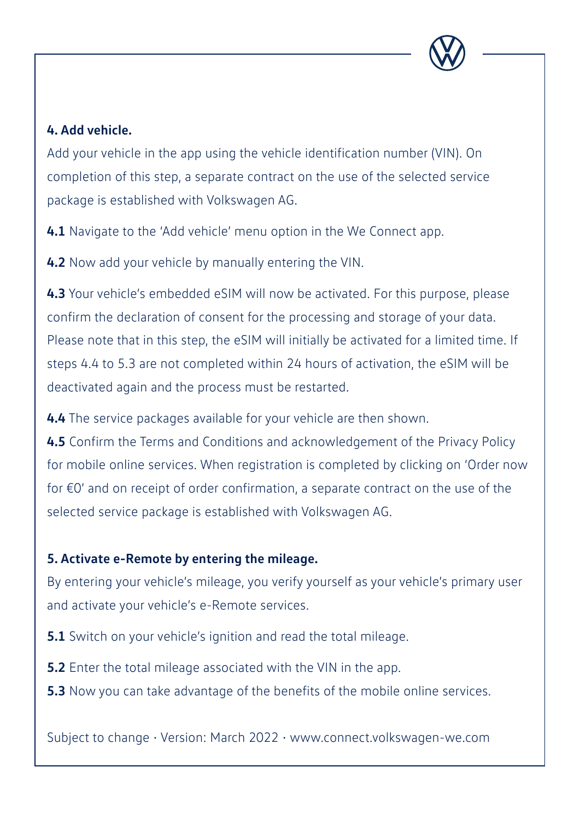

#### **4. Add vehicle.**

Add your vehicle in the app using the vehicle identification number (VIN). On completion of this step, a separate contract on the use of the selected service package is established with Volkswagen AG.

**4.1** Navigate to the 'Add vehicle' menu option in the We Connect app.

**4.2** Now add your vehicle by manually entering the VIN.

**4.3** Your vehicle's embedded eSIM will now be activated. For this purpose, please confirm the declaration of consent for the processing and storage of your data. Please note that in this step, the eSIM will initially be activated for a limited time. If steps 4.4 to 5.3 are not completed within 24 hours of activation, the eSIM will be deactivated again and the process must be restarted.

**4.4** The service packages available for your vehicle are then shown.

**4.5** Confirm the Terms and Conditions and acknowledgement of the Privacy Policy for mobile online services. When registration is completed by clicking on 'Order now for €0' and on receipt of order confirmation, a separate contract on the use of the selected service package is established with Volkswagen AG.

#### **5. Activate e-Remote by entering the mileage.**

By entering your vehicle's mileage, you verify yourself as your vehicle's primary user and activate your vehicle's e-Remote services.

**5.1** Switch on your vehicle's ignition and read the total mileage.

- **5.2** Enter the total mileage associated with the VIN in the app.
- **5.3** Now you can take advantage of the benefits of the mobile online services.

Subject to change • Version: March 2022 • www.connect.volkswagen-we.com